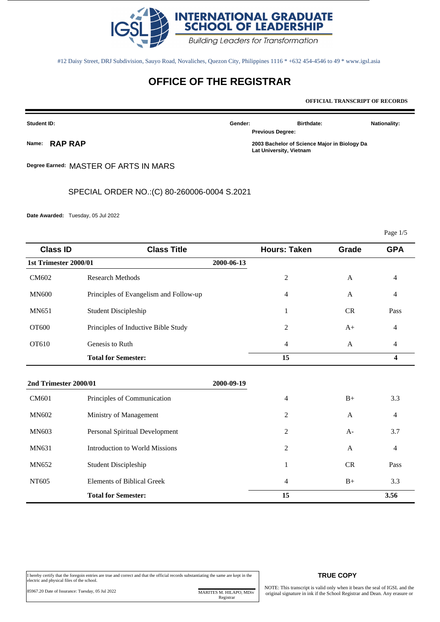

#12 Daisy Street, DRJ Subdivision, Sauyo Road, Novaliches, Quezon City, Philippines 1116 \* +632 454-4546 to 49 \* www.igsl.asia

# **OFFICE OF THE REGISTRAR**

**OFFICIAL TRANSCRIPT OF RECORDS**

| <b>Student ID:</b> |               | Gender:                 | <b>Birthdate:</b>                            | <b>Nationality:</b> |
|--------------------|---------------|-------------------------|----------------------------------------------|---------------------|
|                    |               | <b>Previous Degree:</b> |                                              |                     |
|                    | Name: RAP RAP | Lat University, Vietnam | 2003 Bachelor of Science Major in Biology Da |                     |

**Degree Earned:** MASTER OF ARTS IN MARS

SPECIAL ORDER NO.:(C) 80-260006-0004 S.2021

**Date Awarded:** Tuesday, 05 Jul 2022

Page 1/5

| <b>Class ID</b>       | <b>Class Title</b>                     |            | <b>Hours: Taken</b> | Grade     | <b>GPA</b>     |
|-----------------------|----------------------------------------|------------|---------------------|-----------|----------------|
| 1st Trimester 2000/01 |                                        | 2000-06-13 |                     |           |                |
| CM602                 | <b>Research Methods</b>                |            | $\overline{c}$      | A         | $\overline{4}$ |
| <b>MN600</b>          | Principles of Evangelism and Follow-up |            | 4                   | A         | 4              |
| MN651                 | <b>Student Discipleship</b>            |            | 1                   | CR        | Pass           |
| OT600                 | Principles of Inductive Bible Study    |            | $\overline{c}$      | $A+$      | 4              |
| OT610                 | Genesis to Ruth                        |            | 4                   | A         | 4              |
|                       | <b>Total for Semester:</b>             |            | 15                  |           | 4              |
| 2nd Trimester 2000/01 |                                        | 2000-09-19 |                     |           |                |
| CM601                 | Principles of Communication            |            | 4                   | $B+$      | 3.3            |
| MN602                 | Ministry of Management                 |            | 2                   | A         | 4              |
| <b>MN603</b>          | Personal Spiritual Development         |            | 2                   | $A-$      | 3.7            |
| MN631                 | <b>Introduction to World Missions</b>  |            | 2                   | A         | 4              |
| MN652                 | <b>Student Discipleship</b>            |            | $\mathbf{1}$        | <b>CR</b> | Pass           |
| NT605                 | <b>Elements of Biblical Greek</b>      |            | 4                   | $B+$      | 3.3            |
|                       | <b>Total for Semester:</b>             |            | 15                  |           | 3.56           |

# 85967.20 Date of Issurance: Tuesday, 05 Jul 2022 MARITES M. HILAPO, MDiv

Registrar

#### **TRUE COPY**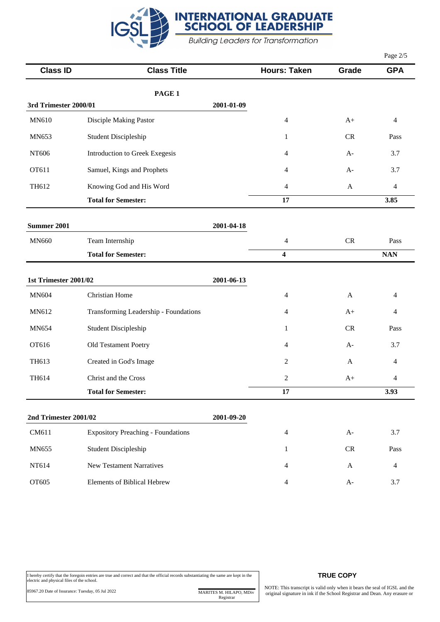

|                       |                                           |            |                         |              | Page 2/5                         |
|-----------------------|-------------------------------------------|------------|-------------------------|--------------|----------------------------------|
| <b>Class ID</b>       | <b>Class Title</b>                        |            | <b>Hours: Taken</b>     | Grade        | <b>GPA</b>                       |
|                       | PAGE 1                                    |            |                         |              |                                  |
| 3rd Trimester 2000/01 |                                           | 2001-01-09 |                         |              |                                  |
| MN610                 | Disciple Making Pastor                    |            | 4                       | $A+$         | 4                                |
| MN653                 | <b>Student Discipleship</b>               |            | $\mathbf{1}$            | ${\sf CR}$   | Pass                             |
| NT606                 | Introduction to Greek Exegesis            |            | 4                       | $A-$         | 3.7                              |
| OT611                 | Samuel, Kings and Prophets                |            | 4                       | $A-$         | 3.7                              |
| TH612                 | Knowing God and His Word                  |            | 4                       | $\mathbf{A}$ | 4                                |
|                       | <b>Total for Semester:</b>                |            | 17                      |              | 3.85                             |
| <b>Summer 2001</b>    |                                           | 2001-04-18 |                         |              |                                  |
| <b>MN660</b>          | Team Internship                           |            | 4                       | ${\sf CR}$   | Pass                             |
|                       | <b>Total for Semester:</b>                |            | $\overline{\mathbf{4}}$ |              | $\mathbf{N}\mathbf{A}\mathbf{N}$ |
| 1st Trimester 2001/02 |                                           | 2001-06-13 |                         |              |                                  |
| <b>MN604</b>          | Christian Home                            |            | 4                       | $\mathbf{A}$ | 4                                |
| MN612                 | Transforming Leadership - Foundations     |            | 4                       | $A+$         | 4                                |
| MN654                 | <b>Student Discipleship</b>               |            | $\mathbf{1}$            | CR           | Pass                             |
| OT616                 | Old Testament Poetry                      |            | 4                       | $A-$         | 3.7                              |
| TH613                 | Created in God's Image                    |            | 2                       | A            | 4                                |
| TH614                 | Christ and the Cross                      |            | 2                       | $A+$         | 4                                |
|                       | <b>Total for Semester:</b>                |            | 17                      |              | 3.93                             |
| 2nd Trimester 2001/02 |                                           | 2001-09-20 |                         |              |                                  |
| CM611                 | <b>Expository Preaching - Foundations</b> |            | 4                       | $A-$         | 3.7                              |
| MN655                 | <b>Student Discipleship</b>               |            | 1                       | ${\sf CR}$   | Pass                             |
| NT614                 | <b>New Testament Narratives</b>           |            | 4                       | A            | 4                                |
| OT605                 | Elements of Biblical Hebrew               |            | 4                       | $A-$         | 3.7                              |

### **TRUE COPY**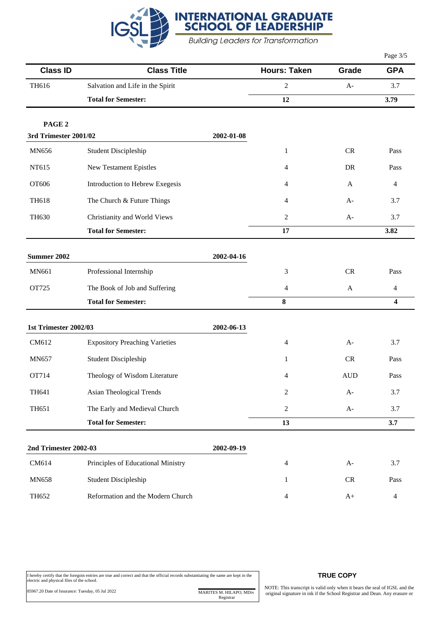

|                       |                                       |            |                          |            | Page 3/5       |
|-----------------------|---------------------------------------|------------|--------------------------|------------|----------------|
| <b>Class ID</b>       | <b>Class Title</b>                    |            | <b>Hours: Taken</b>      | Grade      | <b>GPA</b>     |
| TH616                 | Salvation and Life in the Spirit      |            | 2                        | $A-$       | 3.7            |
|                       | <b>Total for Semester:</b>            |            | 12                       |            | 3.79           |
| PAGE <sub>2</sub>     |                                       |            |                          |            |                |
| 3rd Trimester 2001/02 |                                       | 2002-01-08 |                          |            |                |
| <b>MN656</b>          | <b>Student Discipleship</b>           |            | $\mathbf{1}$             | CR         | Pass           |
| NT615                 | New Testament Epistles                |            | 4                        | <b>DR</b>  | Pass           |
| OT606                 | Introduction to Hebrew Exegesis       |            | 4                        | A          | 4              |
| <b>TH618</b>          | The Church & Future Things            |            | 4                        | $A-$       | 3.7            |
| <b>TH630</b>          | Christianity and World Views          |            | 2                        | $A-$       | 3.7            |
|                       | <b>Total for Semester:</b>            |            | 17                       |            | 3.82           |
| Summer 2002           |                                       | 2002-04-16 |                          |            |                |
| MN661                 | Professional Internship               |            | 3                        | ${\sf CR}$ | Pass           |
| OT725                 | The Book of Job and Suffering         |            | 4                        | A          | $\overline{4}$ |
|                       | <b>Total for Semester:</b>            |            | 8                        |            | 4              |
| 1st Trimester 2002/03 |                                       | 2002-06-13 |                          |            |                |
| CM612                 | <b>Expository Preaching Varieties</b> |            | 4                        | $A-$       | 3.7            |
| <b>MN657</b>          | <b>Student Discipleship</b>           |            | 1                        | CR         | Pass           |
| OT714                 | Theology of Wisdom Literature         |            | 4                        | <b>AUD</b> | Pass           |
| TH641                 | Asian Theological Trends              |            | $\overline{c}$           | $A-$       | 3.7            |
| TH651                 | The Early and Medieval Church         |            | $\overline{c}$           | $A-$       | 3.7            |
|                       | <b>Total for Semester:</b>            |            | 13                       |            | 3.7            |
| 2nd Trimester 2002-03 |                                       | 2002-09-19 |                          |            |                |
| CM614                 | Principles of Educational Ministry    |            | 4                        | $A-$       | 3.7            |
| <b>MN658</b>          | <b>Student Discipleship</b>           |            | $\mathbf{1}$             | ${\sf CR}$ | Pass           |
| TH652                 | Reformation and the Modern Church     |            | $\overline{\mathcal{A}}$ | $A+$       | $\overline{4}$ |

## **TRUE COPY**

NOTE: This transcript is valid only when it bears the seal of IGSL and the original signature in ink if the School Registrar and Dean. Any erasure or

Registrar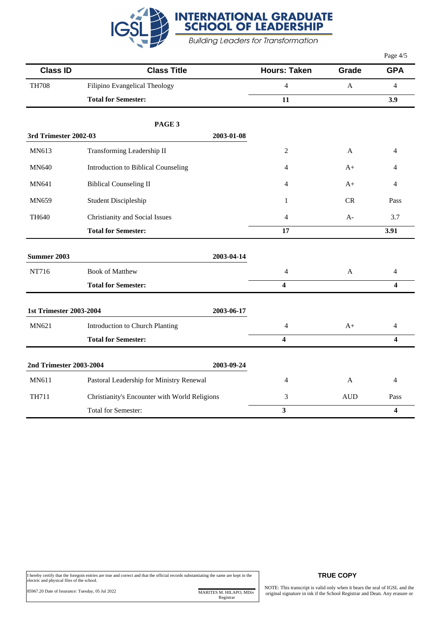

|                                |                                               |            |                         |              | Page $4/5$     |
|--------------------------------|-----------------------------------------------|------------|-------------------------|--------------|----------------|
| <b>Class ID</b>                | <b>Class Title</b>                            |            | <b>Hours: Taken</b>     | Grade        | <b>GPA</b>     |
| <b>TH708</b>                   | Filipino Evangelical Theology                 |            | $\overline{4}$          | $\mathbf{A}$ | $\overline{4}$ |
|                                | <b>Total for Semester:</b>                    |            | 11                      |              | 3.9            |
|                                | PAGE 3                                        |            |                         |              |                |
| <b>3rd Trimester 2002-03</b>   |                                               | 2003-01-08 |                         |              |                |
| MN613                          | Transforming Leadership II                    |            | 2                       | A            | 4              |
| <b>MN640</b>                   | Introduction to Biblical Counseling           |            | 4                       | $A+$         | 4              |
| MN641                          | <b>Biblical Counseling II</b>                 |            | 4                       | $A+$         | 4              |
| MN659                          | <b>Student Discipleship</b>                   |            | $\mathbf{1}$            | CR           | Pass           |
| TH640                          | Christianity and Social Issues                |            | 4                       | $A-$         | 3.7            |
|                                | <b>Total for Semester:</b>                    |            | 17                      |              | 3.91           |
| <b>Summer 2003</b>             |                                               | 2003-04-14 |                         |              |                |
| NT716                          | <b>Book of Matthew</b>                        |            | $\overline{\mathbf{4}}$ | $\mathbf{A}$ | $\overline{4}$ |
|                                | <b>Total for Semester:</b>                    |            | 4                       |              | 4              |
|                                |                                               |            |                         |              |                |
| <b>1st Trimester 2003-2004</b> |                                               | 2003-06-17 |                         |              |                |
| MN621                          | <b>Introduction to Church Planting</b>        |            | $\overline{4}$          | $A+$         | $\overline{4}$ |
|                                | <b>Total for Semester:</b>                    |            | $\overline{\mathbf{4}}$ |              | 4              |
| 2nd Trimester 2003-2004        |                                               | 2003-09-24 |                         |              |                |
| <b>MN611</b>                   | Pastoral Leadership for Ministry Renewal      |            | 4                       | A            | $\overline{4}$ |
| <b>TH711</b>                   | Christianity's Encounter with World Religions |            | 3                       | <b>AUD</b>   | Pass           |
|                                | Total for Semester:                           |            | $\overline{\mathbf{3}}$ |              | 4              |

I hereby certify that the foregoin entries are true and correct and that the official records substantiating the same are kept in the electric and physical files of the school.

85967.20 Date of Issurance: Tuesday, 05 Jul 2022 MARITES M. HILAPO, MDiv Registrar

#### **TRUE COPY**